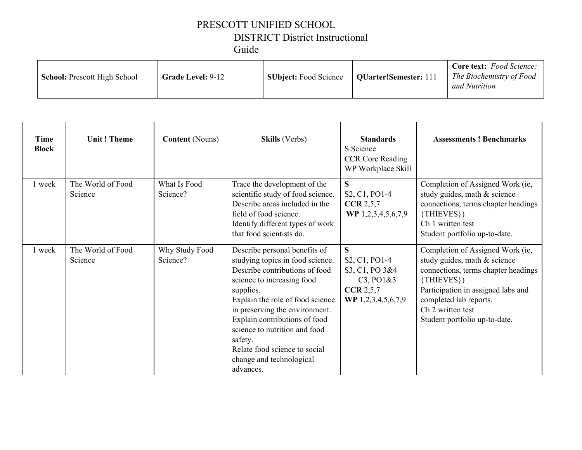### PRESCOTT UNIFIED SCHOOL DISTRICT District Instructional Guide

| <b>School: Prescott High School</b> | <b>Grade Level: 9-12</b> | <b>SUbject:</b> Food Science | <b>QUarter!Semester: 111</b> | <b>Core text:</b> Food Science:<br>The Biochemistry of Food<br>and Nutrition |
|-------------------------------------|--------------------------|------------------------------|------------------------------|------------------------------------------------------------------------------|
|-------------------------------------|--------------------------|------------------------------|------------------------------|------------------------------------------------------------------------------|

| <b>Time</b><br><b>Block</b> | <b>Unit! Theme</b>           | <b>Content</b> (Nouns)     | <b>Skills</b> (Verbs)                                                                                                                                                                                                                                                                                                                                                       | <b>Standards</b><br>S Science<br><b>CCR Core Reading</b><br>WP Workplace Skill                                                     | <b>Assessments ! Benchmarks</b>                                                                                                                                                                                                                           |
|-----------------------------|------------------------------|----------------------------|-----------------------------------------------------------------------------------------------------------------------------------------------------------------------------------------------------------------------------------------------------------------------------------------------------------------------------------------------------------------------------|------------------------------------------------------------------------------------------------------------------------------------|-----------------------------------------------------------------------------------------------------------------------------------------------------------------------------------------------------------------------------------------------------------|
| 1 week                      | The World of Food<br>Science | What Is Food<br>Science?   | Trace the development of the<br>scientific study of food science.<br>Describe areas included in the<br>field of food science.<br>Identify different types of work<br>that food scientists do.                                                                                                                                                                               | S.<br>S <sub>2</sub> , C <sub>1</sub> , P <sub>O1</sub> -4<br>CCR 2, 5, 7<br>WP 1,2,3,4,5,6,7,9                                    | Completion of Assigned Work (ie,<br>study guides, math & science<br>connections, terms chapter headings<br>$\{THIEVES\}$<br>Ch 1 written test<br>Student portfolio up-to-date.                                                                            |
| 1 week                      | The World of Food<br>Science | Why Study Food<br>Science? | Describe personal benefits of<br>studying topics in food science.<br>Describe contributions of food<br>science to increasing food<br>supplies.<br>Explain the role of food science<br>in preserving the environment.<br>Explain contributions of food<br>science to nutrition and food<br>safety.<br>Relate food science to social<br>change and technological<br>advances. | S<br>S <sub>2</sub> , C <sub>1</sub> , P <sub>O1</sub> -4<br>S3, C1, PO 3&4<br>$C3$ , $PO1&3$<br>CCR 2, 5, 7<br>WP 1,2,3,4,5,6,7,9 | Completion of Assigned Work (ie,<br>study guides, math & science<br>connections, terms chapter headings<br>$\{THIEVES\}$<br>Participation in assigned labs and<br>completed lab reports.<br>Ch <sub>2</sub> written test<br>Student portfolio up-to-date. |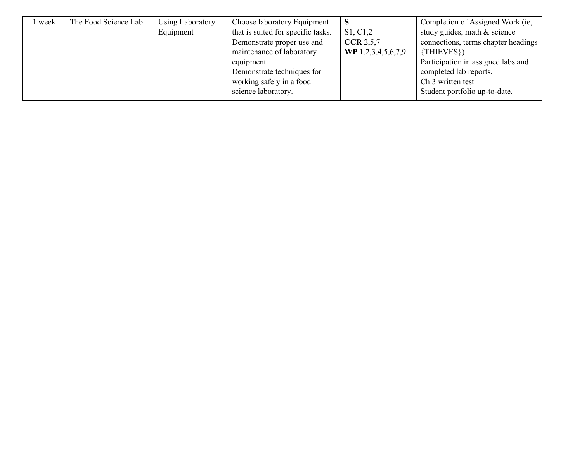| week | The Food Science Lab | Using Laboratory | Choose laboratory Equipment        |                    | Completion of Assigned Work (ie,    |
|------|----------------------|------------------|------------------------------------|--------------------|-------------------------------------|
|      |                      | Equipment        | that is suited for specific tasks. | S1, C1, 2          | study guides, math & science        |
|      |                      |                  | Demonstrate proper use and         | <b>CCR</b> 2.5.7   | connections, terms chapter headings |
|      |                      |                  | maintenance of laboratory          | WP 1,2,3,4,5,6,7,9 | $\{THIEVES\}$                       |
|      |                      |                  | equipment.                         |                    | Participation in assigned labs and  |
|      |                      |                  | Demonstrate techniques for         |                    | completed lab reports.              |
|      |                      |                  | working safely in a food           |                    | Ch <sub>3</sub> written test        |
|      |                      |                  | science laboratory.                |                    | Student portfolio up-to-date.       |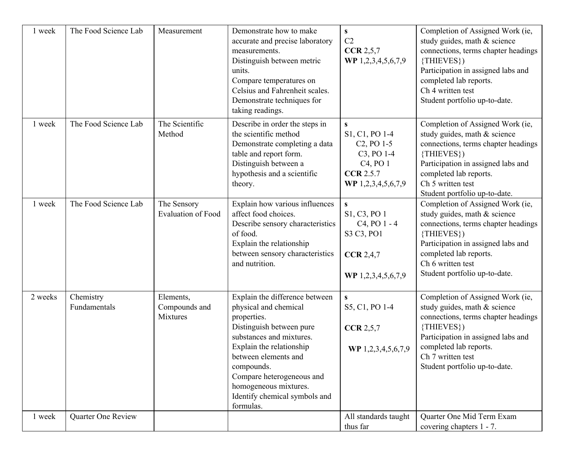| 1 week  | The Food Science Lab      | Measurement                              | Demonstrate how to make<br>accurate and precise laboratory<br>measurements.<br>Distinguish between metric<br>units.<br>Compare temperatures on<br>Celsius and Fahrenheit scales.<br>Demonstrate techniques for<br>taking readings.                                                                   | S<br>C2<br><b>CCR 2,5,7</b><br>WP 1,2,3,4,5,6,7,9                                                                                                                              | Completion of Assigned Work (ie,<br>study guides, math & science<br>connections, terms chapter headings<br>{THIEVES})<br>Participation in assigned labs and<br>completed lab reports.<br>Ch 4 written test<br>Student portfolio up-to-date.    |
|---------|---------------------------|------------------------------------------|------------------------------------------------------------------------------------------------------------------------------------------------------------------------------------------------------------------------------------------------------------------------------------------------------|--------------------------------------------------------------------------------------------------------------------------------------------------------------------------------|------------------------------------------------------------------------------------------------------------------------------------------------------------------------------------------------------------------------------------------------|
| 1 week  | The Food Science Lab      | The Scientific<br>Method                 | Describe in order the steps in<br>the scientific method<br>Demonstrate completing a data<br>table and report form.<br>Distinguish between a<br>hypothesis and a scientific<br>theory.                                                                                                                | $\mathbf{s}$<br>S1, C1, PO 1-4<br>C <sub>2</sub> , PO 1-5<br>C <sub>3</sub> , PO <sub>1</sub> -4<br>C <sub>4</sub> , PO <sub>1</sub><br><b>CCR 2.5.7</b><br>WP 1,2,3,4,5,6,7,9 | Completion of Assigned Work (ie,<br>study guides, math & science<br>connections, terms chapter headings<br>$\{THIEVES\}$<br>Participation in assigned labs and<br>completed lab reports.<br>Ch 5 written test<br>Student portfolio up-to-date. |
| 1 week  | The Food Science Lab      | The Sensory<br><b>Evaluation of Food</b> | Explain how various influences<br>affect food choices.<br>Describe sensory characteristics<br>of food.<br>Explain the relationship<br>between sensory characteristics<br>and nutrition.                                                                                                              | $\mathbf{s}$<br>S1, C3, PO 1<br>C <sub>4</sub> , PO <sub>1</sub> - 4<br>S3 C3, PO1<br><b>CCR</b> 2,4,7<br>WP 1,2,3,4,5,6,7,9                                                   | Completion of Assigned Work (ie,<br>study guides, math & science<br>connections, terms chapter headings<br>{THIEVES})<br>Participation in assigned labs and<br>completed lab reports.<br>Ch 6 written test<br>Student portfolio up-to-date.    |
| 2 weeks | Chemistry<br>Fundamentals | Elements,<br>Compounds and<br>Mixtures   | Explain the difference between<br>physical and chemical<br>properties.<br>Distinguish between pure<br>substances and mixtures.<br>Explain the relationship<br>between elements and<br>compounds.<br>Compare heterogeneous and<br>homogeneous mixtures.<br>Identify chemical symbols and<br>formulas. | ${\bf S}$<br>S5, C1, PO 1-4<br>CCR 2, 5, 7<br>WP 1,2,3,4,5,6,7,9                                                                                                               | Completion of Assigned Work (ie,<br>study guides, math & science<br>connections, terms chapter headings<br>{THIEVES})<br>Participation in assigned labs and<br>completed lab reports.<br>Ch 7 written test<br>Student portfolio up-to-date.    |
| 1 week  | Quarter One Review        |                                          |                                                                                                                                                                                                                                                                                                      | All standards taught<br>thus far                                                                                                                                               | <b>Ouarter One Mid Term Exam</b><br>covering chapters 1 - 7.                                                                                                                                                                                   |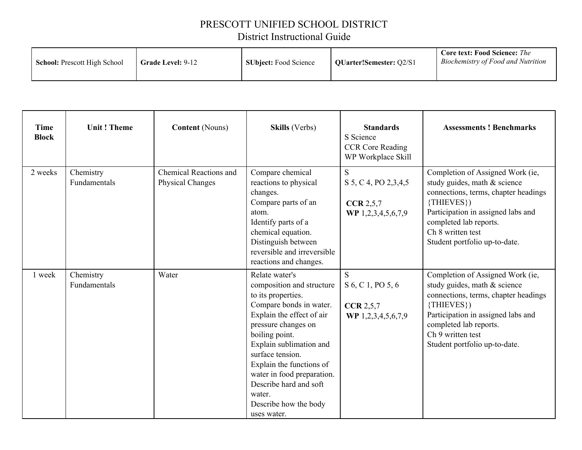### PRESCOTT UNIFIED SCHOOL DISTRICT

# District Instructional Guide

| <b>Time</b><br><b>Block</b> | <b>Unit! Theme</b>        | <b>Content</b> (Nouns)                            | <b>Skills</b> (Verbs)                                                                                                                                                                                                                                                                                                                                   | <b>Standards</b><br>S Science<br><b>CCR Core Reading</b><br>WP Workplace Skill | <b>Assessments ! Benchmarks</b>                                                                                                                                                                                                              |
|-----------------------------|---------------------------|---------------------------------------------------|---------------------------------------------------------------------------------------------------------------------------------------------------------------------------------------------------------------------------------------------------------------------------------------------------------------------------------------------------------|--------------------------------------------------------------------------------|----------------------------------------------------------------------------------------------------------------------------------------------------------------------------------------------------------------------------------------------|
| 2 weeks                     | Chemistry<br>Fundamentals | <b>Chemical Reactions and</b><br>Physical Changes | Compare chemical<br>reactions to physical<br>changes.<br>Compare parts of an<br>atom.<br>Identify parts of a<br>chemical equation.<br>Distinguish between<br>reversible and irreversible<br>reactions and changes.                                                                                                                                      | S<br>S 5, C 4, PO 2, 3, 4, 5<br>CCR 2, 5, 7<br>WP 1,2,3,4,5,6,7,9              | Completion of Assigned Work (ie,<br>study guides, math & science<br>connections, terms, chapter headings<br>{THIEVES})<br>Participation in assigned labs and<br>completed lab reports.<br>Ch 8 written test<br>Student portfolio up-to-date. |
| 1 week                      | Chemistry<br>Fundamentals | Water                                             | Relate water's<br>composition and structure<br>to its properties.<br>Compare bonds in water.<br>Explain the effect of air<br>pressure changes on<br>boiling point.<br>Explain sublimation and<br>surface tension.<br>Explain the functions of<br>water in food preparation.<br>Describe hard and soft<br>water.<br>Describe how the body<br>uses water. | S<br>S 6, C 1, PO 5, 6<br>CCR 2, 5, 7<br>WP 1,2,3,4,5,6,7,9                    | Completion of Assigned Work (ie,<br>study guides, math & science<br>connections, terms, chapter headings<br>{THIEVES})<br>Participation in assigned labs and<br>completed lab reports.<br>Ch 9 written test<br>Student portfolio up-to-date. |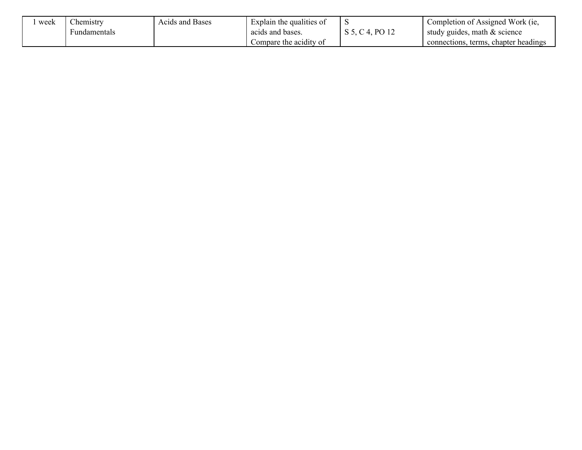| week | $\sim$<br>hemistry | Acids and Bases | Explain the qualities of | ◡                    | Completion of Assigned Work (ie,           |
|------|--------------------|-----------------|--------------------------|----------------------|--------------------------------------------|
|      | Fundamentals       |                 | acids and bases.         | P <sub>O</sub><br>ົ້ | study guides, math & science               |
|      |                    |                 | Compare the acidity of   |                      | chapter headings<br>terms.<br>connections. |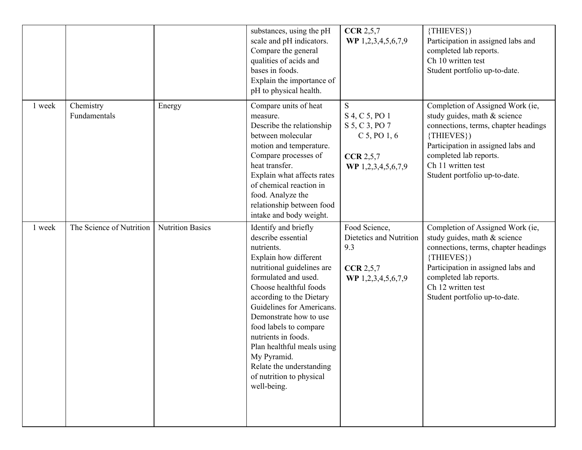|        |                           |                         | substances, using the pH<br>scale and pH indicators.<br>Compare the general<br>qualities of acids and<br>bases in foods.<br>Explain the importance of<br>pH to physical health.                                                                                                                                                                                                                                           | CCR 2, 5, 7<br>WP 1,2,3,4,5,6,7,9                                                            | $\{THIEVES\}$<br>Participation in assigned labs and<br>completed lab reports.<br>Ch 10 written test<br>Student portfolio up-to-date.                                                                                                             |
|--------|---------------------------|-------------------------|---------------------------------------------------------------------------------------------------------------------------------------------------------------------------------------------------------------------------------------------------------------------------------------------------------------------------------------------------------------------------------------------------------------------------|----------------------------------------------------------------------------------------------|--------------------------------------------------------------------------------------------------------------------------------------------------------------------------------------------------------------------------------------------------|
| 1 week | Chemistry<br>Fundamentals | Energy                  | Compare units of heat<br>measure.<br>Describe the relationship<br>between molecular<br>motion and temperature.<br>Compare processes of<br>heat transfer.<br>Explain what affects rates<br>of chemical reaction in<br>food. Analyze the<br>relationship between food<br>intake and body weight.                                                                                                                            | S<br>S 4, C 5, PO 1<br>S 5, C 3, PO 7<br>$C$ 5, PO 1, 6<br>CCR 2, 5, 7<br>WP 1,2,3,4,5,6,7,9 | Completion of Assigned Work (ie,<br>study guides, math & science<br>connections, terms, chapter headings<br>$\{THIEVES\}$<br>Participation in assigned labs and<br>completed lab reports.<br>Ch 11 written test<br>Student portfolio up-to-date. |
| 1 week | The Science of Nutrition  | <b>Nutrition Basics</b> | Identify and briefly<br>describe essential<br>nutrients.<br>Explain how different<br>nutritional guidelines are<br>formulated and used.<br>Choose healthful foods<br>according to the Dietary<br>Guidelines for Americans.<br>Demonstrate how to use<br>food labels to compare<br>nutrients in foods.<br>Plan healthful meals using<br>My Pyramid.<br>Relate the understanding<br>of nutrition to physical<br>well-being. | Food Science,<br>Dietetics and Nutrition<br>9.3<br>CCR 2, 5, 7<br>WP 1,2,3,4,5,6,7,9         | Completion of Assigned Work (ie,<br>study guides, math & science<br>connections, terms, chapter headings<br>$\{THIEVES\}$<br>Participation in assigned labs and<br>completed lab reports.<br>Ch 12 written test<br>Student portfolio up-to-date. |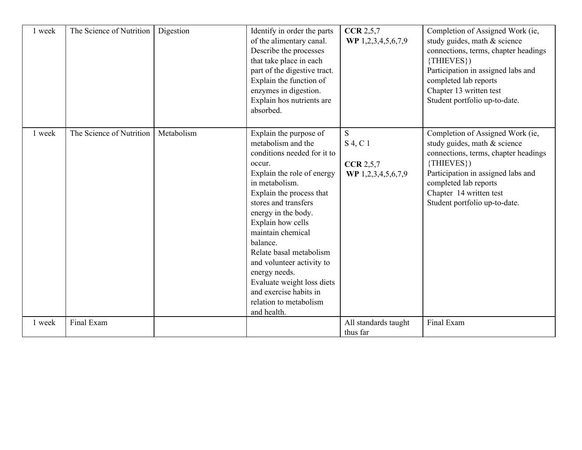| 1 week | The Science of Nutrition | Digestion  | Identify in order the parts<br>of the alimentary canal.<br>Describe the processes<br>that take place in each<br>part of the digestive tract.<br>Explain the function of<br>enzymes in digestion.<br>Explain hos nutrients are<br>absorbed.                                                                                                                                                                                                       | CCR 2, 5, 7<br>WP 1,2,3,4,5,6,7,9                  | Completion of Assigned Work (ie,<br>study guides, math & science<br>connections, terms, chapter headings<br>{THIEVES})<br>Participation in assigned labs and<br>completed lab reports<br>Chapter 13 written test<br>Student portfolio up-to-date. |
|--------|--------------------------|------------|--------------------------------------------------------------------------------------------------------------------------------------------------------------------------------------------------------------------------------------------------------------------------------------------------------------------------------------------------------------------------------------------------------------------------------------------------|----------------------------------------------------|---------------------------------------------------------------------------------------------------------------------------------------------------------------------------------------------------------------------------------------------------|
| 1 week | The Science of Nutrition | Metabolism | Explain the purpose of<br>metabolism and the<br>conditions needed for it to<br>occur.<br>Explain the role of energy<br>in metabolism.<br>Explain the process that<br>stores and transfers<br>energy in the body.<br>Explain how cells<br>maintain chemical<br>balance.<br>Relate basal metabolism<br>and volunteer activity to<br>energy needs.<br>Evaluate weight loss diets<br>and exercise habits in<br>relation to metabolism<br>and health. | S<br>S 4, C 1<br>CCR 2, 5, 7<br>WP 1,2,3,4,5,6,7,9 | Completion of Assigned Work (ie,<br>study guides, math & science<br>connections, terms, chapter headings<br>{THIEVES})<br>Participation in assigned labs and<br>completed lab reports<br>Chapter 14 written test<br>Student portfolio up-to-date. |
| 1 week | Final Exam               |            |                                                                                                                                                                                                                                                                                                                                                                                                                                                  | All standards taught<br>thus far                   | Final Exam                                                                                                                                                                                                                                        |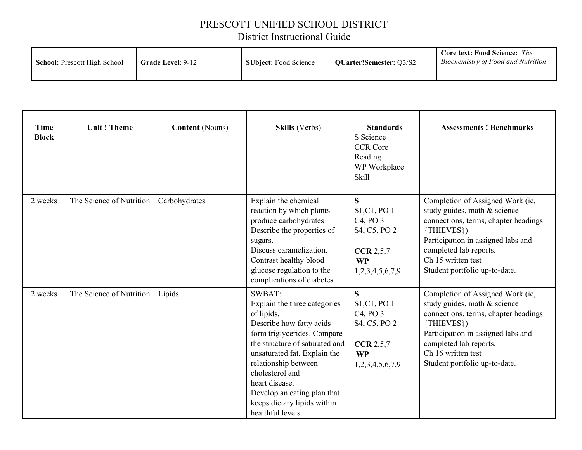### PRESCOTT UNIFIED SCHOOL DISTRICT

# District Instructional Guide

| <b>School:</b> Prescott High School<br><b>Grade Level: 9-12</b> | <b>SUbject:</b> Food Science | QUarter!Semester: Q3/S2 | <b>Core text: Food Science:</b> The<br>Biochemistry of Food and Nutrition |
|-----------------------------------------------------------------|------------------------------|-------------------------|---------------------------------------------------------------------------|
|-----------------------------------------------------------------|------------------------------|-------------------------|---------------------------------------------------------------------------|

| <b>Time</b><br><b>Block</b> | <b>Unit! Theme</b>       | <b>Content</b> (Nouns) | <b>Skills</b> (Verbs)                                                                                                                                                                                                                                                                                                                    | <b>Standards</b><br>S Science<br><b>CCR Core</b><br>Reading<br>WP Workplace<br>Skill                                                                      | <b>Assessments ! Benchmarks</b>                                                                                                                                                                                                                  |
|-----------------------------|--------------------------|------------------------|------------------------------------------------------------------------------------------------------------------------------------------------------------------------------------------------------------------------------------------------------------------------------------------------------------------------------------------|-----------------------------------------------------------------------------------------------------------------------------------------------------------|--------------------------------------------------------------------------------------------------------------------------------------------------------------------------------------------------------------------------------------------------|
| 2 weeks                     | The Science of Nutrition | Carbohydrates          | Explain the chemical<br>reaction by which plants<br>produce carbohydrates<br>Describe the properties of<br>sugars.<br>Discuss caramelization.<br>Contrast healthy blood<br>glucose regulation to the<br>complications of diabetes.                                                                                                       | S<br>S <sub>1</sub> ,C <sub>1</sub> , PO <sub>1</sub><br>C <sub>4</sub> , P <sub>O</sub> 3<br>S4, C5, PO 2<br>CCR 2,5,7<br><b>WP</b><br>1,2,3,4,5,6,7,9   | Completion of Assigned Work (ie,<br>study guides, math & science<br>connections, terms, chapter headings<br>$\{THIEVES\}$<br>Participation in assigned labs and<br>completed lab reports.<br>Ch 15 written test<br>Student portfolio up-to-date. |
| 2 weeks                     | The Science of Nutrition | Lipids                 | <b>SWBAT:</b><br>Explain the three categories<br>of lipids.<br>Describe how fatty acids<br>form triglycerides. Compare<br>the structure of saturated and<br>unsaturated fat. Explain the<br>relationship between<br>cholesterol and<br>heart disease.<br>Develop an eating plan that<br>keeps dietary lipids within<br>healthful levels. | $\overline{\mathbf{S}}$<br>S <sub>1</sub> ,C <sub>1</sub> , PO <sub>1</sub><br>$C4$ , PO $3$<br>S4, C5, PO 2<br>CCR 2,5,7<br><b>WP</b><br>1,2,3,4,5,6,7,9 | Completion of Assigned Work (ie,<br>study guides, math & science<br>connections, terms, chapter headings<br>{THIEVES})<br>Participation in assigned labs and<br>completed lab reports.<br>Ch 16 written test<br>Student portfolio up-to-date.    |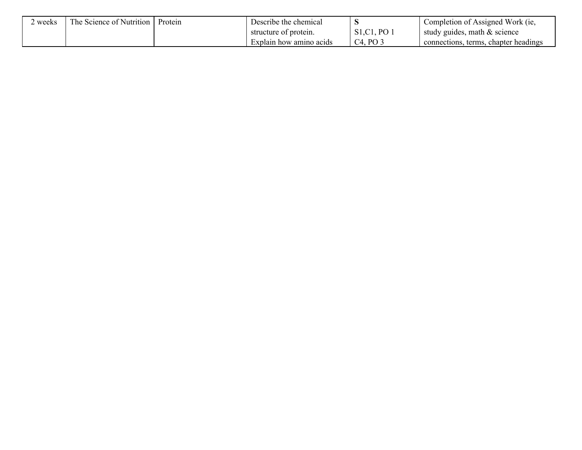| weeks | The Science of Nutrition | Protein | Describe the chemical   |                             | Completion of Assigned Work (ie,           |
|-------|--------------------------|---------|-------------------------|-----------------------------|--------------------------------------------|
|       |                          |         | structure of protein.   | P <sub>O</sub><br>S1, C1, P | study guides, math $\&$ science            |
|       |                          |         | Explain how amino acids | PO<br>C4.                   | s, terms, chapter headings<br>connections. |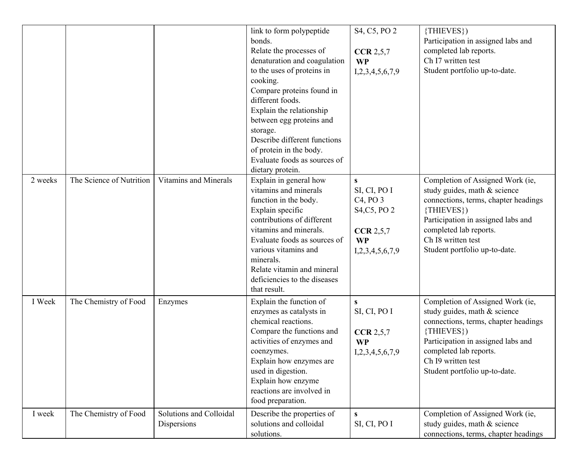|         |                          |                                        | link to form polypeptide<br>bonds.<br>Relate the processes of<br>denaturation and coagulation<br>to the uses of proteins in<br>cooking.<br>Compare proteins found in<br>different foods.<br>Explain the relationship<br>between egg proteins and<br>storage.<br>Describe different functions<br>of protein in the body.<br>Evaluate foods as sources of<br>dietary protein. | S4, C5, PO 2<br>CCR 2, 5, 7<br><b>WP</b><br>I, 2, 3, 4, 5, 6, 7, 9                                                         | {THIEVES})<br>Participation in assigned labs and<br>completed lab reports.<br>Ch <sub>I7</sub> written test<br>Student portfolio up-to-date.                                                                                                             |
|---------|--------------------------|----------------------------------------|-----------------------------------------------------------------------------------------------------------------------------------------------------------------------------------------------------------------------------------------------------------------------------------------------------------------------------------------------------------------------------|----------------------------------------------------------------------------------------------------------------------------|----------------------------------------------------------------------------------------------------------------------------------------------------------------------------------------------------------------------------------------------------------|
| 2 weeks | The Science of Nutrition | Vitamins and Minerals                  | Explain in general how<br>vitamins and minerals<br>function in the body.<br>Explain specific<br>contributions of different<br>vitamins and minerals.<br>Evaluate foods as sources of<br>various vitamins and<br>minerals.<br>Relate vitamin and mineral<br>deficiencies to the diseases<br>that result.                                                                     | S<br>SI, CI, PO I<br>C <sub>4</sub> , P <sub>O</sub> 3<br>S4, C5, PO 2<br>CCR 2,5,7<br><b>WP</b><br>I, 2, 3, 4, 5, 6, 7, 9 | Completion of Assigned Work (ie,<br>study guides, math & science<br>connections, terms, chapter headings<br>{THIEVES})<br>Participation in assigned labs and<br>completed lab reports.<br>Ch <sub>I8</sub> written test<br>Student portfolio up-to-date. |
| I Week  | The Chemistry of Food    | Enzymes                                | Explain the function of<br>enzymes as catalysts in<br>chemical reactions.<br>Compare the functions and<br>activities of enzymes and<br>coenzymes.<br>Explain how enzymes are<br>used in digestion.<br>Explain how enzyme<br>reactions are involved in<br>food preparation.                                                                                                  | S<br>SI, CI, PO I<br><b>CCR 2,5,7</b><br><b>WP</b><br>I, 2, 3, 4, 5, 6, 7, 9                                               | Completion of Assigned Work (ie,<br>study guides, math & science<br>connections, terms, chapter headings<br>{THIEVES})<br>Participation in assigned labs and<br>completed lab reports.<br>Ch I9 written test<br>Student portfolio up-to-date.            |
| I week  | The Chemistry of Food    | Solutions and Colloidal<br>Dispersions | Describe the properties of<br>solutions and colloidal<br>solutions.                                                                                                                                                                                                                                                                                                         | S.<br>SI, CI, PO I                                                                                                         | Completion of Assigned Work (ie,<br>study guides, math & science<br>connections, terms, chapter headings                                                                                                                                                 |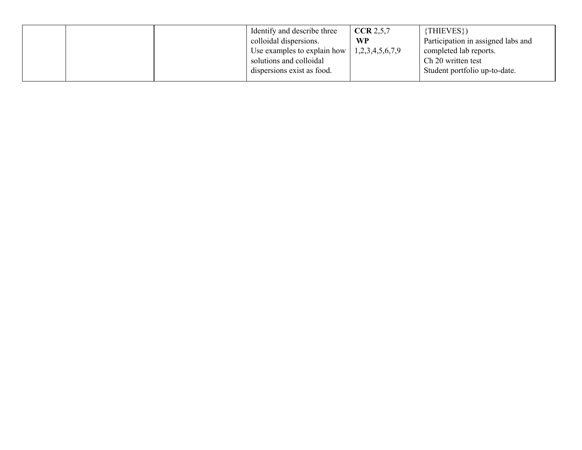|  | Identify and describe three<br>colloidal dispersions.<br>Use examples to explain how<br>solutions and colloidal | <b>CCR</b> 2,5,7<br><b>WP</b><br>1,2,3,4,5,6,7,9 | {THIEVES})<br>Participation in assigned labs and<br>completed lab reports.<br>Ch 20 written test |
|--|-----------------------------------------------------------------------------------------------------------------|--------------------------------------------------|--------------------------------------------------------------------------------------------------|
|  | dispersions exist as food.                                                                                      |                                                  | Student portfolio up-to-date.                                                                    |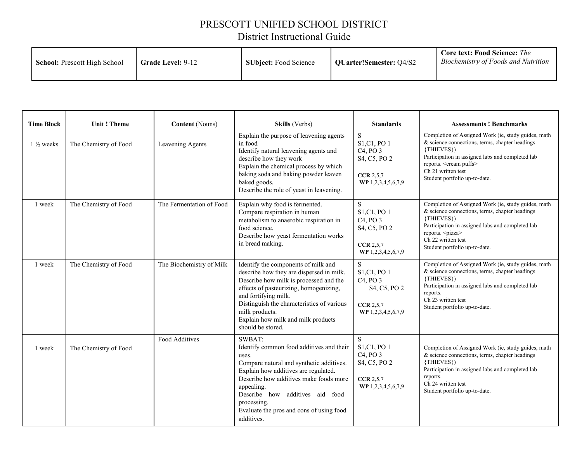#### PRESCOTT UNIFIED SCHOOL DISTRICT

# District Instructional Guide

| <b>School:</b> Prescott High School<br><b>Grade Level: 9-12</b> | <b>SUbject:</b> Food Science | QUarter!Semester: Q4/S2 | <b>Core text: Food Science:</b> The<br>Biochemistry of Foods and Nutrition |
|-----------------------------------------------------------------|------------------------------|-------------------------|----------------------------------------------------------------------------|
|-----------------------------------------------------------------|------------------------------|-------------------------|----------------------------------------------------------------------------|

| <b>Time Block</b>    | <b>Unit! Theme</b>    | <b>Content</b> (Nouns)   | Skills (Verbs)                                                                                                                                                                                                                                                                                                         | <b>Standards</b>                                                                                                 | <b>Assessments ! Benchmarks</b>                                                                                                                                                                                                                                       |
|----------------------|-----------------------|--------------------------|------------------------------------------------------------------------------------------------------------------------------------------------------------------------------------------------------------------------------------------------------------------------------------------------------------------------|------------------------------------------------------------------------------------------------------------------|-----------------------------------------------------------------------------------------------------------------------------------------------------------------------------------------------------------------------------------------------------------------------|
| $1\frac{1}{2}$ weeks | The Chemistry of Food | Leavening Agents         | Explain the purpose of leavening agents<br>in food<br>Identify natural leavening agents and<br>describe how they work<br>Explain the chemical process by which<br>baking soda and baking powder leaven<br>baked goods.<br>Describe the role of yeast in leavening.                                                     | S<br>S1, C1, PO 1<br>C <sub>4</sub> , PO <sub>3</sub><br>S4, C5, PO 2<br>CCR 2.5.7<br>WP 1,2,3,4,5,6,7,9         | Completion of Assigned Work (ie, study guides, math<br>& science connections, terms, chapter headings<br>{THIEVES})<br>Participation in assigned labs and completed lab<br>reports. <cream puffs=""><br/>Ch 21 written test<br/>Student portfolio up-to-date.</cream> |
| 1 week               | The Chemistry of Food | The Fermentation of Food | Explain why food is fermented.<br>Compare respiration in human<br>metabolism to anaerobic respiration in<br>food science.<br>Describe how yeast fermentation works<br>in bread making.                                                                                                                                 | S.<br>S1, C1, PO 1<br>C <sub>4</sub> , PO <sub>3</sub><br>S4, C5, PO 2<br><b>CCR 2,5,7</b><br>WP 1,2,3,4,5,6,7,9 | Completion of Assigned Work (ie, study guides, math<br>& science connections, terms, chapter headings<br>{THIEVES})<br>Participation in assigned labs and completed lab<br>reports. <pizza><br/>Ch 22 written test<br/>Student portfolio up-to-date.</pizza>          |
| 1 week               | The Chemistry of Food | The Biochemistry of Milk | Identify the components of milk and<br>describe how they are dispersed in milk.<br>Describe how milk is processed and the<br>effects of pasteurizing, homogenizing,<br>and fortifying milk.<br>Distinguish the characteristics of various<br>milk products.<br>Explain how milk and milk products<br>should be stored. | S.<br>S1, C1, PO 1<br>C <sub>4</sub> , PO <sub>3</sub><br>S4, C5, PO 2<br><b>CCR 2,5,7</b><br>WP 1,2,3,4,5,6,7,9 | Completion of Assigned Work (ie, study guides, math<br>& science connections, terms, chapter headings<br>{THIEVES})<br>Participation in assigned labs and completed lab<br>reports.<br>Ch 23 written test<br>Student portfolio up-to-date.                            |
| 1 week               | The Chemistry of Food | Food Additives           | SWBAT:<br>Identify common food additives and their<br>uses.<br>Compare natural and synthetic additives.<br>Explain how additives are regulated.<br>Describe how additives make foods more<br>appealing.<br>Describe how additives aid food<br>processing.<br>Evaluate the pros and cons of using food<br>additives.    | S<br>S1, C1, PO 1<br>C <sub>4</sub> , PO <sub>3</sub><br>S4, C5, PO 2<br><b>CCR</b> 2,5,7<br>WP 1,2,3,4,5,6,7,9  | Completion of Assigned Work (ie, study guides, math<br>& science connections, terms, chapter headings<br>{THIEVES})<br>Participation in assigned labs and completed lab<br>reports.<br>Ch 24 written test<br>Student portfolio up-to-date.                            |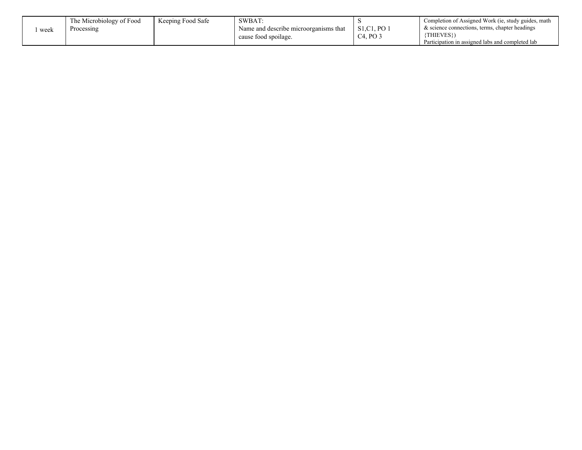|      | The Microbiology of Food | Keeping Food Safe | SWBAT                                 |                          | Completion of Assigned Work (ie, study guides, math |
|------|--------------------------|-------------------|---------------------------------------|--------------------------|-----------------------------------------------------|
| week | Processing               |                   | Name and describe microorganisms that | S1.C1. PO.               | & science connections, terms, chapter headings      |
|      |                          |                   | cause food spoilage.                  | $C4$ , PO $\overline{C}$ | {THIEVES})                                          |
|      |                          |                   |                                       |                          | Participation in assigned labs and completed lab    |